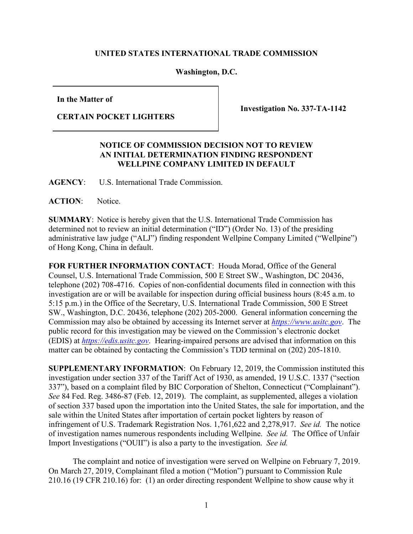## **UNITED STATES INTERNATIONAL TRADE COMMISSION**

**Washington, D.C.**

**In the Matter of**

**CERTAIN POCKET LIGHTERS** 

**Investigation No. 337-TA-1142**

## **NOTICE OF COMMISSION DECISION NOT TO REVIEW AN INITIAL DETERMINATION FINDING RESPONDENT WELLPINE COMPANY LIMITED IN DEFAULT**

**AGENCY**: U.S. International Trade Commission.

**ACTION**: Notice.

**SUMMARY**: Notice is hereby given that the U.S. International Trade Commission has determined not to review an initial determination ("ID") (Order No. 13) of the presiding administrative law judge ("ALJ") finding respondent Wellpine Company Limited ("Wellpine") of Hong Kong, China in default.

**FOR FURTHER INFORMATION CONTACT**: Houda Morad, Office of the General Counsel, U.S. International Trade Commission, 500 E Street SW., Washington, DC 20436, telephone (202) 708-4716. Copies of non-confidential documents filed in connection with this investigation are or will be available for inspection during official business hours (8:45 a.m. to 5:15 p.m.) in the Office of the Secretary, U.S. International Trade Commission, 500 E Street SW., Washington, D.C. 20436, telephone (202) 205-2000. General information concerning the Commission may also be obtained by accessing its Internet server at *[https://www.usitc.gov](https://www.usitc.gov/)*. The public record for this investigation may be viewed on the Commission's electronic docket (EDIS) at *[https://edis.usitc.gov](http://edis.usitc.gov/)*. Hearing-impaired persons are advised that information on this matter can be obtained by contacting the Commission's TDD terminal on (202) 205-1810.

**SUPPLEMENTARY INFORMATION**: On February 12, 2019, the Commission instituted this investigation under section 337 of the Tariff Act of 1930, as amended, 19 U.S.C. 1337 ("section 337"), based on a complaint filed by BIC Corporation of Shelton, Connecticut ("Complainant"). *See* 84 Fed. Reg. 3486-87 (Feb. 12, 2019). The complaint, as supplemented, alleges a violation of section 337 based upon the importation into the United States, the sale for importation, and the sale within the United States after importation of certain pocket lighters by reason of infringement of U.S. Trademark Registration Nos. 1,761,622 and 2,278,917. *See id.* The notice of investigation names numerous respondents including Wellpine. *See id.* The Office of Unfair Import Investigations ("OUII") is also a party to the investigation. *See id.* 

The complaint and notice of investigation were served on Wellpine on February 7, 2019. On March 27, 2019, Complainant filed a motion ("Motion") pursuant to Commission Rule 210.16 (19 CFR 210.16) for: (1) an order directing respondent Wellpine to show cause why it